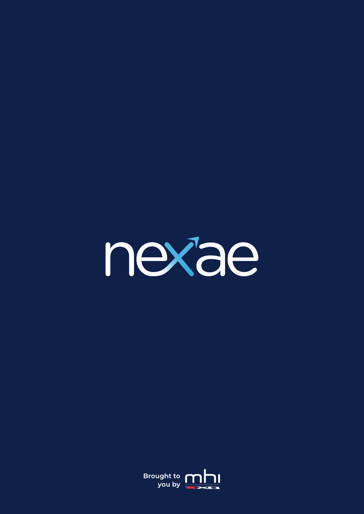

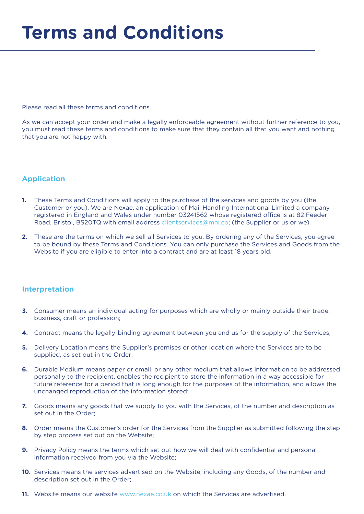Please read all these terms and conditions.

As we can accept your order and make a legally enforceable agreement without further reference to you, you must read these terms and conditions to make sure that they contain all that you want and nothing that you are not happy with.

# **Application**

- **1.** These Terms and Conditions will apply to the purchase of the services and goods by you (the Customer or you). We are Nexae, an application of Mail Handling International Limited a company registered in England and Wales under number 03241562 whose registered office is at 82 Feeder Road, Bristol, BS20TQ with email address clientservices@mhi.co; (the Supplier or us or we).
- **2.** These are the terms on which we sell all Services to you. By ordering any of the Services, you agree to be bound by these Terms and Conditions. You can only purchase the Services and Goods from the Website if you are eligible to enter into a contract and are at least 18 years old.

## **Interpretation**

- **3.** Consumer means an individual acting for purposes which are wholly or mainly outside their trade, business, craft or profession;
- **4.** Contract means the legally-binding agreement between you and us for the supply of the Services;
- **5.** Delivery Location means the Supplier's premises or other location where the Services are to be supplied, as set out in the Order;
- **6.** Durable Medium means paper or email, or any other medium that allows information to be addressed personally to the recipient, enables the recipient to store the information in a way accessible for future reference for a period that is long enough for the purposes of the information, and allows the unchanged reproduction of the information stored;
- **7.** Goods means any goods that we supply to you with the Services, of the number and description as set out in the Order;
- **8.** Order means the Customer's order for the Services from the Supplier as submitted following the step by step process set out on the Website;
- **9.** Privacy Policy means the terms which set out how we will deal with confidential and personal information received from you via the Website;
- **10.** Services means the services advertised on the Website, including any Goods, of the number and description set out in the Order;
- **11.** Website means our website www.nexae.co.uk on which the Services are advertised.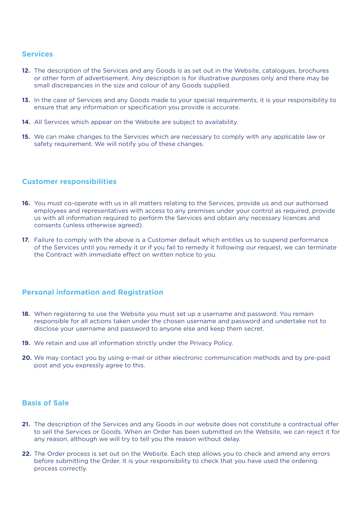## **Services**

- **12.** The description of the Services and any Goods is as set out in the Website, catalogues, brochures or other form of advertisement. Any description is for illustrative purposes only and there may be small discrepancies in the size and colour of any Goods supplied.
- **13.** In the case of Services and any Goods made to your special requirements, it is your responsibility to ensure that any information or specification you provide is accurate.
- 14. All Services which appear on the Website are subject to availability.
- **15.** We can make changes to the Services which are necessary to comply with any applicable law or safety requirement. We will notify you of these changes.

## **Customer responsibilities**

- **16.** You must co-operate with us in all matters relating to the Services, provide us and our authorised employees and representatives with access to any premises under your control as required, provide us with all information required to perform the Services and obtain any necessary licences and consents (unless otherwise agreed).
- **17.** Failure to comply with the above is a Customer default which entitles us to suspend performance of the Services until you remedy it or if you fail to remedy it following our request, we can terminate the Contract with immediate effect on written notice to you.

## **Personal information and Registration**

- **18.** When registering to use the Website you must set up a username and password. You remain responsible for all actions taken under the chosen username and password and undertake not to disclose your username and password to anyone else and keep them secret.
- **19.** We retain and use all information strictly under the Privacy Policy.
- **20.** We may contact you by using e-mail or other electronic communication methods and by pre-paid post and you expressly agree to this.

## **Basis of Sale**

- **21.** The description of the Services and any Goods in our website does not constitute a contractual offer to sell the Services or Goods. When an Order has been submitted on the Website, we can reject it for any reason, although we will try to tell you the reason without delay.
- **22.** The Order process is set out on the Website. Each step allows you to check and amend any errors before submitting the Order. It is your responsibility to check that you have used the ordering process correctly.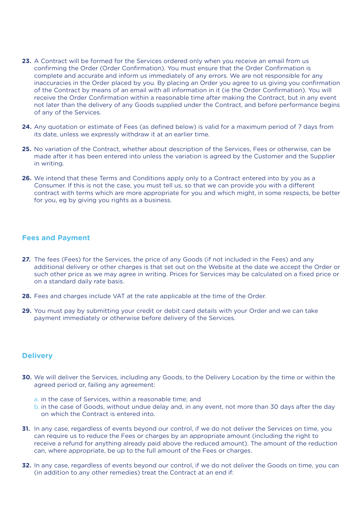- **23.** A Contract will be formed for the Services ordered only when you receive an email from us confirming the Order (Order Confirmation). You must ensure that the Order Confirmation is complete and accurate and inform us immediately of any errors. We are not responsible for any inaccuracies in the Order placed by you. By placing an Order you agree to us giving you confirmation of the Contract by means of an email with all information in it (ie the Order Confirmation). You will receive the Order Confirmation within a reasonable time after making the Contract, but in any event not later than the delivery of any Goods supplied under the Contract, and before performance begins of any of the Services.
- **24.** Any quotation or estimate of Fees (as defined below) is valid for a maximum period of 7 days from its date, unless we expressly withdraw it at an earlier time.
- **25.** No variation of the Contract, whether about description of the Services, Fees or otherwise, can be made after it has been entered into unless the variation is agreed by the Customer and the Supplier in writing.
- **26.** We intend that these Terms and Conditions apply only to a Contract entered into by you as a Consumer. If this is not the case, you must tell us, so that we can provide you with a different contract with terms which are more appropriate for you and which might, in some respects, be better for you, eg by giving you rights as a business.

## **Fees and Payment**

- **27.** The fees (Fees) for the Services, the price of any Goods (if not included in the Fees) and any additional delivery or other charges is that set out on the Website at the date we accept the Order or such other price as we may agree in writing. Prices for Services may be calculated on a fixed price or on a standard daily rate basis.
- **28.** Fees and charges include VAT at the rate applicable at the time of the Order.
- **29.** You must pay by submitting your credit or debit card details with your Order and we can take payment immediately or otherwise before delivery of the Services.

### **Delivery**

- **30.** We will deliver the Services, including any Goods, to the Delivery Location by the time or within the agreed period or, failing any agreement:
	- a. in the case of Services, within a reasonable time; and
	- b. in the case of Goods, without undue delay and, in any event, not more than 30 days after the day on which the Contract is entered into.
- **31.** In any case, regardless of events beyond our control, if we do not deliver the Services on time, you can require us to reduce the Fees or charges by an appropriate amount (including the right to receive a refund for anything already paid above the reduced amount). The amount of the reduction can, where appropriate, be up to the full amount of the Fees or charges.
- **32.** In any case, regardless of events beyond our control, if we do not deliver the Goods on time, you can (in addition to any other remedies) treat the Contract at an end if: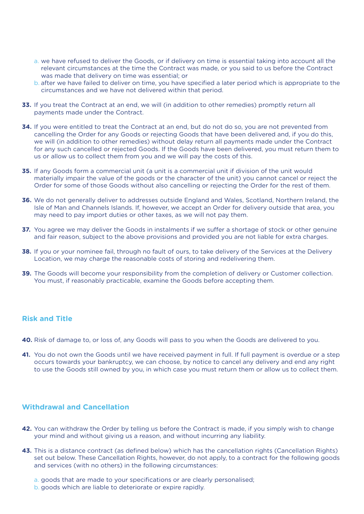- a. we have refused to deliver the Goods, or if delivery on time is essential taking into account all the relevant circumstances at the time the Contract was made, or you said to us before the Contract was made that delivery on time was essential; or
- b. after we have failed to deliver on time, you have specified a later period which is appropriate to the circumstances and we have not delivered within that period.
- **33.** If you treat the Contract at an end, we will (in addition to other remedies) promptly return all payments made under the Contract.
- **34.** If you were entitled to treat the Contract at an end, but do not do so, you are not prevented from cancelling the Order for any Goods or rejecting Goods that have been delivered and, if you do this, we will (in addition to other remedies) without delay return all payments made under the Contract for any such cancelled or rejected Goods. If the Goods have been delivered, you must return them to us or allow us to collect them from you and we will pay the costs of this.
- **35.** If any Goods form a commercial unit (a unit is a commercial unit if division of the unit would materially impair the value of the goods or the character of the unit) you cannot cancel or reject the Order for some of those Goods without also cancelling or rejecting the Order for the rest of them.
- **36.** We do not generally deliver to addresses outside England and Wales, Scotland, Northern Ireland, the Isle of Man and Channels Islands. If, however, we accept an Order for delivery outside that area, you may need to pay import duties or other taxes, as we will not pay them.
- **37.** You agree we may deliver the Goods in instalments if we suffer a shortage of stock or other genuine and fair reason, subject to the above provisions and provided you are not liable for extra charges.
- **38.** If you or your nominee fail, through no fault of ours, to take delivery of the Services at the Delivery Location, we may charge the reasonable costs of storing and redelivering them.
- **39.** The Goods will become your responsibility from the completion of delivery or Customer collection. You must, if reasonably practicable, examine the Goods before accepting them.

# **Risk and Title**

- **40.** Risk of damage to, or loss of, any Goods will pass to you when the Goods are delivered to you.
- **41.** You do not own the Goods until we have received payment in full. If full payment is overdue or a step occurs towards your bankruptcy, we can choose, by notice to cancel any delivery and end any right to use the Goods still owned by you, in which case you must return them or allow us to collect them.

### **Withdrawal and Cancellation**

- **42.** You can withdraw the Order by telling us before the Contract is made, if you simply wish to change your mind and without giving us a reason, and without incurring any liability.
- **43.** This is a distance contract (as defined below) which has the cancellation rights (Cancellation Rights) set out below. These Cancellation Rights, however, do not apply, to a contract for the following goods and services (with no others) in the following circumstances:
	- a. goods that are made to your specifications or are clearly personalised;
	- b. goods which are liable to deteriorate or expire rapidly.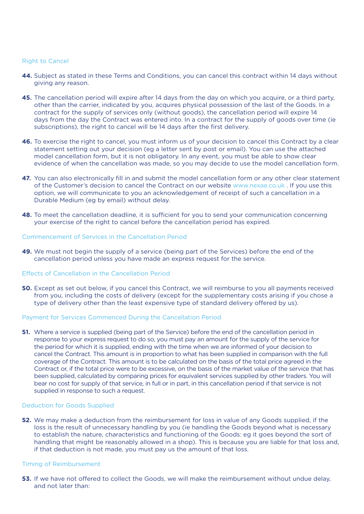#### Right to Cancel

- **44.** Subject as stated in these Terms and Conditions, you can cancel this contract within 14 days without giving any reason.
- **45.** The cancellation period will expire after 14 days from the day on which you acquire, or a third party, other than the carrier, indicated by you, acquires physical possession of the last of the Goods. In a contract for the supply of services only (without goods), the cancellation period will expire 14 days from the day the Contract was entered into. In a contract for the supply of goods over time (ie subscriptions), the right to cancel will be 14 days after the first delivery.
- **46.** To exercise the right to cancel, you must inform us of your decision to cancel this Contract by a clear statement setting out your decision (eg a letter sent by post or email). You can use the attached model cancellation form, but it is not obligatory. In any event, you must be able to show clear evidence of when the cancellation was made, so you may decide to use the model cancellation form.
- **47.** You can also electronically fill in and submit the model cancellation form or any other clear statement of the Customer's decision to cancel the Contract on our website www.nexae.co.uk . If you use this option, we will communicate to you an acknowledgement of receipt of such a cancellation in a Durable Medium (eg by email) without delay.
- **48.** To meet the cancellation deadline, it is sufficient for you to send your communication concerning your exercise of the right to cancel before the cancellation period has expired.

#### Commencement of Services in the Cancellation Period

**49.** We must not begin the supply of a service (being part of the Services) before the end of the cancellation period unless you have made an express request for the service.

#### Effects of Cancellation in the Cancellation Period

**50.** Except as set out below, if you cancel this Contract, we will reimburse to you all payments received from you, including the costs of delivery (except for the supplementary costs arising if you chose a type of delivery other than the least expensive type of standard delivery offered by us).

#### Payment for Services Commenced During the Cancellation Period

**51.** Where a service is supplied (being part of the Service) before the end of the cancellation period in response to your express request to do so, you must pay an amount for the supply of the service for the period for which it is supplied, ending with the time when we are informed of your decision to cancel the Contract. This amount is in proportion to what has been supplied in comparison with the full coverage of the Contract. This amount is to be calculated on the basis of the total price agreed in the Contract or, if the total price were to be excessive, on the basis of the market value of the service that has been supplied, calculated by comparing prices for equivalent services supplied by other traders. You will bear no cost for supply of that service, in full or in part, in this cancellation period if that service is not supplied in response to such a request.

#### Deduction for Goods Supplied

**52.** We may make a deduction from the reimbursement for loss in value of any Goods supplied, if the loss is the result of unnecessary handling by you (ie handling the Goods beyond what is necessary to establish the nature, characteristics and functioning of the Goods: eg it goes beyond the sort of handling that might be reasonably allowed in a shop). This is because you are liable for that loss and, if that deduction is not made, you must pay us the amount of that loss.

#### Timing of Reimbursement

**53.** If we have not offered to collect the Goods, we will make the reimbursement without undue delay, and not later than: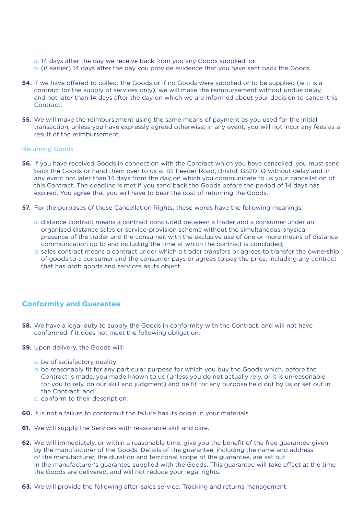- a. 14 days after the day we receive back from you any Goods supplied, or
- b. (if earlier) 14 days after the day you provide evidence that you have sent back the Goods.
- **54.** If we have offered to collect the Goods or if no Goods were supplied or to be supplied (ie it is a contract for the supply of services only), we will make the reimbursement without undue delay, and not later than 14 days after the day on which we are informed about your decision to cancel this **Contract**
- **55.** We will make the reimbursement using the same means of payment as you used for the initial transaction, unless you have expressly agreed otherwise; in any event, you will not incur any fees as a result of the reimbursement.

#### Returning Goods

- **56.** If you have received Goods in connection with the Contract which you have cancelled, you must send back the Goods or hand them over to us at 82 Feeder Road, Bristol, BS20TQ without delay and in any event not later than 14 days from the day on which you communicate to us your cancellation of this Contract. The deadline is met if you send back the Goods before the period of 14 days has expired. You agree that you will have to bear the cost of returning the Goods.
- **57.** For the purposes of these Cancellation Rights, these words have the following meanings:
	- a. distance contract means a contract concluded between a trader and a consumer under an organised distance sales or service-provision scheme without the simultaneous physical presence of the trader and the consumer, with the exclusive use of one or more means of distance communication up to and including the time at which the contract is concluded;
	- b. sales contract means a contract under which a trader transfers or agrees to transfer the ownership of goods to a consumer and the consumer pays or agrees to pay the price, including any contract that has both goods and services as its object.

## **Conformity and Guarantee**

- **58.** We have a legal duty to supply the Goods in conformity with the Contract, and will not have conformed if it does not meet the following obligation.
- **59.** Upon delivery, the Goods will:
	- a. be of satisfactory quality;
	- b. be reasonably fit for any particular purpose for which you buy the Goods which, before the Contract is made, you made known to us (unless you do not actually rely, or it is unreasonable for you to rely, on our skill and judgment) and be fit for any purpose held out by us or set out in the Contract; and
	- c. conform to their description.
- **60.** It is not a failure to conform if the failure has its origin in your materials.
- **61.** We will supply the Services with reasonable skill and care.
- **62.** We will immediately, or within a reasonable time, give you the benefit of the free guarantee given by the manufacturer of the Goods. Details of the guarantee, including the name and address of the manufacturer, the duration and territorial scope of the guarantee, are set out in the manufacturer's guarantee supplied with the Goods. This guarantee will take effect at the time the Goods are delivered, and will not reduce your legal rights.
- **63.** We will provide the following after-sales service: Tracking and returns management.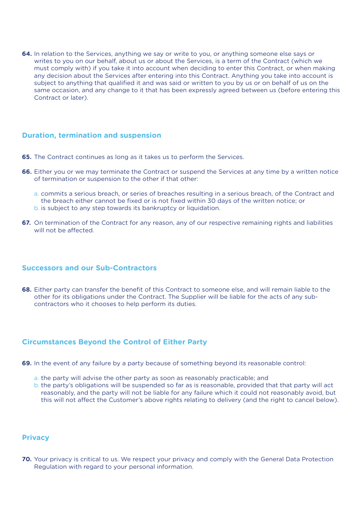**64.** In relation to the Services, anything we say or write to you, or anything someone else says or writes to you on our behalf, about us or about the Services, is a term of the Contract (which we must comply with) if you take it into account when deciding to enter this Contract, or when making any decision about the Services after entering into this Contract. Anything you take into account is subject to anything that qualified it and was said or written to you by us or on behalf of us on the same occasion, and any change to it that has been expressly agreed between us (before entering this Contract or later).

## **Duration, termination and suspension**

- **65.** The Contract continues as long as it takes us to perform the Services.
- **66.** Either you or we may terminate the Contract or suspend the Services at any time by a written notice of termination or suspension to the other if that other:
	- a. commits a serious breach, or series of breaches resulting in a serious breach, of the Contract and the breach either cannot be fixed or is not fixed within 30 days of the written notice; or b. is subject to any step towards its bankruptcy or liquidation.
- **67.** On termination of the Contract for any reason, any of our respective remaining rights and liabilities will not be affected.

## **Successors and our Sub-Contractors**

**68.** Either party can transfer the benefit of this Contract to someone else, and will remain liable to the other for its obligations under the Contract. The Supplier will be liable for the acts of any subcontractors who it chooses to help perform its duties.

### **Circumstances Beyond the Control of Either Party**

- **69.** In the event of any failure by a party because of something beyond its reasonable control:
	- a. the party will advise the other party as soon as reasonably practicable; and
	- b. the party's obligations will be suspended so far as is reasonable, provided that that party will act reasonably, and the party will not be liable for any failure which it could not reasonably avoid, but this will not affect the Customer's above rights relating to delivery (and the right to cancel below).

### **Privacy**

**70.** Your privacy is critical to us. We respect your privacy and comply with the General Data Protection Regulation with regard to your personal information.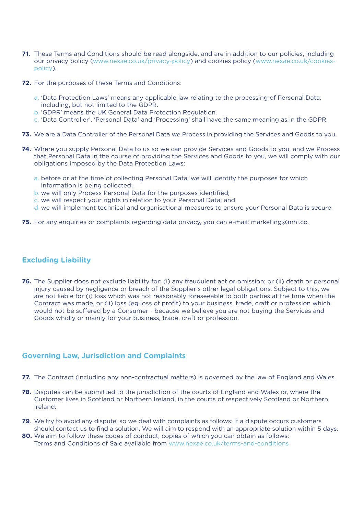- **71.** These Terms and Conditions should be read alongside, and are in addition to our policies, including our privacy policy (www.nexae.co.uk/privacy-policy) and cookies policy (www.nexae.co.uk/cookiespolicy).
- **72.** For the purposes of these Terms and Conditions:
	- a. 'Data Protection Laws' means any applicable law relating to the processing of Personal Data, including, but not limited to the GDPR.
	- b. 'GDPR' means the UK General Data Protection Regulation.
	- c. 'Data Controller', 'Personal Data' and 'Processing' shall have the same meaning as in the GDPR.
- **73.** We are a Data Controller of the Personal Data we Process in providing the Services and Goods to you.
- **74.** Where you supply Personal Data to us so we can provide Services and Goods to you, and we Process that Personal Data in the course of providing the Services and Goods to you, we will comply with our obligations imposed by the Data Protection Laws:
	- a. before or at the time of collecting Personal Data, we will identify the purposes for which information is being collected;
	- b. we will only Process Personal Data for the purposes identified;
	- c. we will respect your rights in relation to your Personal Data; and
	- d. we will implement technical and organisational measures to ensure your Personal Data is secure.
- **75.** For any enquiries or complaints regarding data privacy, you can e-mail: marketing@mhi.co.

## **Excluding Liability**

**76.** The Supplier does not exclude liability for: (i) any fraudulent act or omission; or (ii) death or personal injury caused by negligence or breach of the Supplier's other legal obligations. Subject to this, we are not liable for (i) loss which was not reasonably foreseeable to both parties at the time when the Contract was made, or (ii) loss (eg loss of profit) to your business, trade, craft or profession which would not be suffered by a Consumer - because we believe you are not buying the Services and Goods wholly or mainly for your business, trade, craft or profession.

## **Governing Law, Jurisdiction and Complaints**

- **77.** The Contract (including any non-contractual matters) is governed by the law of England and Wales.
- **78.** Disputes can be submitted to the jurisdiction of the courts of England and Wales or, where the Customer lives in Scotland or Northern Ireland, in the courts of respectively Scotland or Northern Ireland.
- **79**. We try to avoid any dispute, so we deal with complaints as follows: If a dispute occurs customers should contact us to find a solution. We will aim to respond with an appropriate solution within 5 days.
- **80.** We aim to follow these codes of conduct, copies of which you can obtain as follows: Terms and Conditions of Sale available from www.nexae.co.uk/terms-and-conditions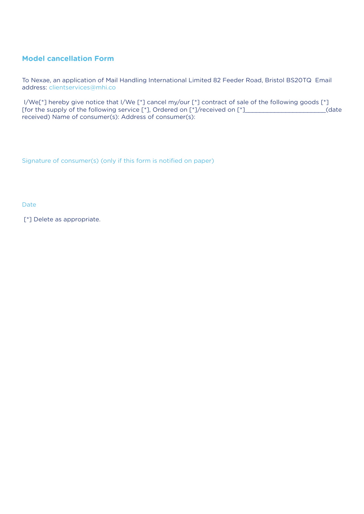# **Model cancellation Form**

To Nexae, an application of Mail Handling International Limited 82 Feeder Road, Bristol BS20TQ Email address: clientservices@mhi.co

 I/We[\*] hereby give notice that I/We [\*] cancel my/our [\*] contract of sale of the following goods [\*] [for the supply of the following service [\*], Ordered on [\*]/received on [\*]\_\_\_\_\_\_\_\_\_\_\_\_\_\_\_\_\_\_\_\_\_\_\_(date received) Name of consumer(s): Address of consumer(s):

Signature of consumer(s) (only if this form is notified on paper)

Date

[\*] Delete as appropriate.